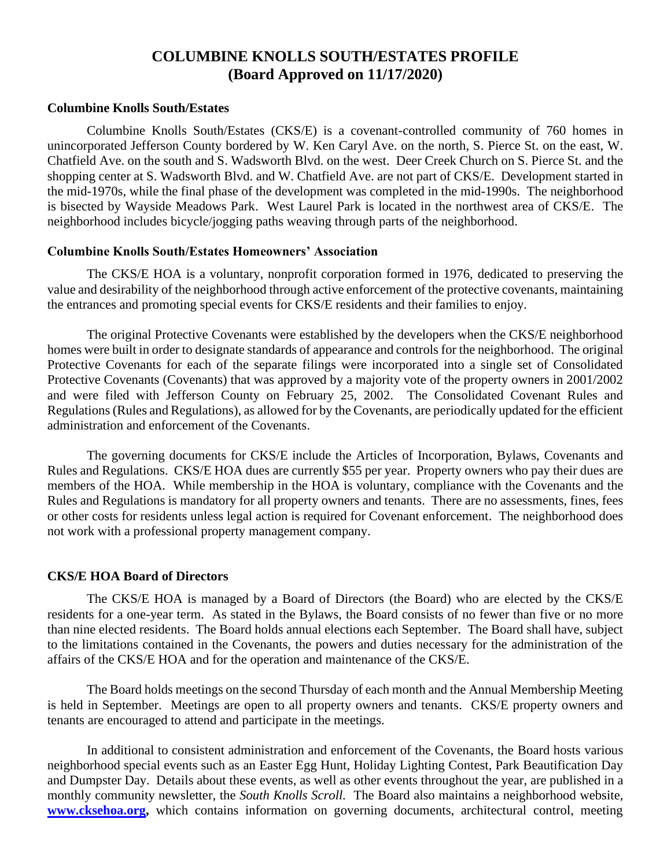# **COLUMBINE KNOLLS SOUTH/ESTATES PROFILE (Board Approved on 11/17/2020)**

### **Columbine Knolls South/Estates**

Columbine Knolls South/Estates (CKS/E) is a covenant-controlled community of 760 homes in unincorporated Jefferson County bordered by W. Ken Caryl Ave. on the north, S. Pierce St. on the east, W. Chatfield Ave. on the south and S. Wadsworth Blvd. on the west. Deer Creek Church on S. Pierce St. and the shopping center at S. Wadsworth Blvd. and W. Chatfield Ave. are not part of CKS/E. Development started in the mid-1970s, while the final phase of the development was completed in the mid-1990s. The neighborhood is bisected by Wayside Meadows Park. West Laurel Park is located in the northwest area of CKS/E. The neighborhood includes bicycle/jogging paths weaving through parts of the neighborhood.

#### **Columbine Knolls South/Estates Homeowners' Association**

The CKS/E HOA is a voluntary, nonprofit corporation formed in 1976, dedicated to preserving the value and desirability of the neighborhood through active enforcement of the protective covenants, maintaining the entrances and promoting special events for CKS/E residents and their families to enjoy.

The original Protective Covenants were established by the developers when the CKS/E neighborhood homes were built in order to designate standards of appearance and controls for the neighborhood. The original Protective Covenants for each of the separate filings were incorporated into a single set of Consolidated Protective Covenants (Covenants) that was approved by a majority vote of the property owners in 2001/2002 and were filed with Jefferson County on February 25, 2002. The Consolidated Covenant Rules and Regulations (Rules and Regulations), as allowed for by the Covenants, are periodically updated for the efficient administration and enforcement of the Covenants.

The governing documents for CKS/E include the Articles of Incorporation, Bylaws, Covenants and Rules and Regulations. CKS/E HOA dues are currently \$55 per year. Property owners who pay their dues are members of the HOA. While membership in the HOA is voluntary, compliance with the Covenants and the Rules and Regulations is mandatory for all property owners and tenants. There are no assessments, fines, fees or other costs for residents unless legal action is required for Covenant enforcement. The neighborhood does not work with a professional property management company.

#### **CKS/E HOA Board of Directors**

The CKS/E HOA is managed by a Board of Directors (the Board) who are elected by the CKS/E residents for a one-year term. As stated in the Bylaws, the Board consists of no fewer than five or no more than nine elected residents. The Board holds annual elections each September. The Board shall have, subject to the limitations contained in the Covenants, the powers and duties necessary for the administration of the affairs of the CKS/E HOA and for the operation and maintenance of the CKS/E.

The Board holds meetings on the second Thursday of each month and the Annual Membership Meeting is held in September. Meetings are open to all property owners and tenants. CKS/E property owners and tenants are encouraged to attend and participate in the meetings.

In additional to consistent administration and enforcement of the Covenants, the Board hosts various neighborhood special events such as an Easter Egg Hunt, Holiday Lighting Contest, Park Beautification Day and Dumpster Day. Details about these events, as well as other events throughout the year, are published in a monthly community newsletter, the *South Knolls Scroll.* The Board also maintains a neighborhood website, **[www.cksehoa.org,](http://www.cksehoa.org/)** which contains information on governing documents, architectural control, meeting